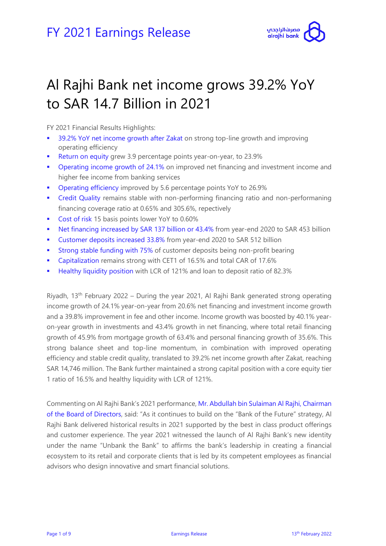

# Al Rajhi Bank net income grows 39.2% YoY to SAR 14.7 Billion in 2021

FY 2021 Financial Results Highlights:

- 39.2% YoY net income growth after Zakat on strong top-line growth and improving operating efficiency
- Return on equity grew 3.9 percentage points year-on-year, to 23.9%
- **Operating income growth of 24.1% on improved net financing and investment income and** higher fee income from banking services
- Operating efficiency improved by 5.6 percentage points YoY to 26.9%
- Credit Quality remains stable with non-performing financing ratio and non-performaning financing coverage ratio at 0.65% and 305.6%, repectively
- Cost of risk 15 basis points lower YoY to 0.60%
- Net financing increased by SAR 137 billion or 43.4% from year-end 2020 to SAR 453 billion
- Customer deposits increased 33.8% from year-end 2020 to SAR 512 billion
- **Strong stable funding with 75% of customer deposits being non-profit bearing**
- **Capitalization remains strong with CET1 of 16.5% and total CAR of 17.6%**
- **Healthy liquidity position with LCR of 121% and loan to deposit ratio of 82.3%**

Riyadh, 13<sup>th</sup> February 2022 – During the year 2021, Al Rajhi Bank generated strong operating income growth of 24.1% year-on-year from 20.6% net financing and investment income growth and a 39.8% improvement in fee and other income. Income growth was boosted by 40.1% yearon-year growth in investments and 43.4% growth in net financing, where total retail financing growth of 45.9% from mortgage growth of 63.4% and personal financing growth of 35.6%. This strong balance sheet and top-line momentum, in combination with improved operating efficiency and stable credit quality, translated to 39.2% net income growth after Zakat, reaching SAR 14,746 million. The Bank further maintained a strong capital position with a core equity tier 1 ratio of 16.5% and healthy liquidity with LCR of 121%.

Commenting on Al Rajhi Bank's 2021 performance, Mr. Abdullah bin Sulaiman Al Rajhi, Chairman of the Board of Directors, said: "As it continues to build on the "Bank of the Future" strategy, Al Rajhi Bank delivered historical results in 2021 supported by the best in class product offerings and customer experience. The year 2021 witnessed the launch of Al Rajhi Bank's new identity under the name "Unbank the Bank" to affirms the bank's leadership in creating a financial ecosystem to its retail and corporate clients that is led by its competent employees as financial advisors who design innovative and smart financial solutions.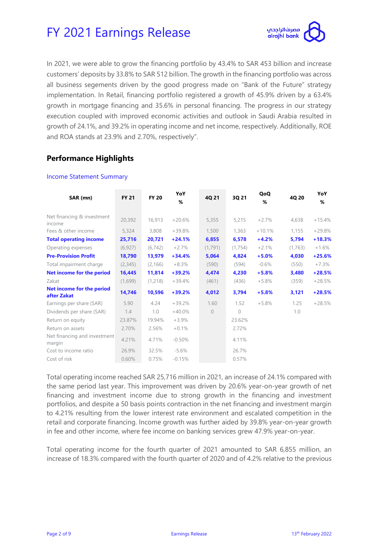

In 2021, we were able to grow the financing portfolio by 43.4% to SAR 453 billion and increase customers' deposits by 33.8% to SAR 512 billion. The growth in the financing portfolio was across all business segements driven by the good progress made on "Bank of the Future" strategy implementation. In Retail, financing portfolio registered a growth of 45.9% driven by a 63.4% growth in mortgage financing and 35.6% in personal financing. The progress in our strategy execution coupled with improved economic activities and outlook in Saudi Arabia resulted in growth of 24.1%, and 39.2% in operating income and net income, respectively. Additionally, ROE and ROA stands at 23.9% and 2.70%, respectively".

### **Performance Highlights**

#### Income Statement Summary

| SAR (mn)                                 | <b>FY 21</b> | <b>FY 20</b> | YoY<br>% | 4Q 21          | 3Q 21         | QoQ<br>% | 4Q 20   | YoY<br>% |
|------------------------------------------|--------------|--------------|----------|----------------|---------------|----------|---------|----------|
| Net financing & investment<br>income     | 20,392       | 16,913       | $+20.6%$ | 5,355          | 5,215         | $+2.7%$  | 4,638   | $+15.4%$ |
| Fees & other income                      | 5,324        | 3,808        | $+39.8%$ | 1,500          | 1,363         | $+10.1%$ | 1,155   | $+29.8%$ |
| <b>Total operating income</b>            | 25,716       | 20,721       | $+24.1%$ | 6,855          | 6,578         | $+4.2%$  | 5,794   | $+18.3%$ |
| Operating expenses                       | (6, 927)     | (6, 742)     | $+2.7%$  | (1,791)        | (1,754)       | $+2.1%$  | (1,763) | $+1.6%$  |
| <b>Pre-Provision Profit</b>              | 18,790       | 13,979       | $+34.4%$ | 5,064          | 4,824         | $+5.0%$  | 4,030   | $+25.6%$ |
| Total impairment charge                  | (2, 345)     | (2, 166)     | $+8.3%$  | (590)          | (594)         | $-0.6%$  | (550)   | $+7.3%$  |
| Net income for the period                | 16,445       | 11,814       | $+39.2%$ | 4,474          | 4,230         | $+5.8%$  | 3,480   | $+28.5%$ |
| Zakat                                    | (1,699)      | (1,218)      | $+39.4%$ | (461)          | (436)         | $+5.8%$  | (359)   | $+28.5%$ |
| Net income for the period<br>after Zakat | 14,746       | 10,596       | $+39.2%$ | 4,012          | 3,794         | $+5.8%$  | 3,121   | $+28.5%$ |
| Earnings per share (SAR)                 | 5.90         | 4.24         | $+39.2%$ | 1.60           | 1.52          | $+5.8%$  | 1.25    | $+28.5%$ |
| Dividends per share (SAR)                | 1.4          | 1.0          | $+40.0%$ | $\overline{0}$ | $\mathcal{O}$ |          | 1.0     |          |
| Return on equity                         | 23.87%       | 19.94%       | $+3.9%$  |                | 23.62%        |          |         |          |
| Return on assets                         | 2.70%        | 2.56%        | $+0.1%$  |                | 2.72%         |          |         |          |
| Net financing and investment<br>margin   | 4.21%        | 4.71%        | $-0.50%$ |                | 4.11%         |          |         |          |
| Cost to income ratio                     | 26.9%        | 32.5%        | $-5.6%$  |                | 26.7%         |          |         |          |
| Cost of risk                             | 0.60%        | 0.75%        | $-0.15%$ |                | 0.57%         |          |         |          |

Total operating income reached SAR 25,716 million in 2021, an increase of 24.1% compared with the same period last year. This improvement was driven by 20.6% year-on-year growth of net financing and investment income due to strong growth in the financing and investment portfolios, and despite a 50 basis points contraction in the net financing and investment margin to 4.21% resulting from the lower interest rate environment and escalated competition in the retail and corporate financing. Income growth was further aided by 39.8% year-on-year growth in fee and other income, where fee income on banking services grew 47.9% year-on-year.

Total operating income for the fourth quarter of 2021 amounted to SAR 6,855 million, an increase of 18.3% compared with the fourth quarter of 2020 and of 4.2% relative to the previous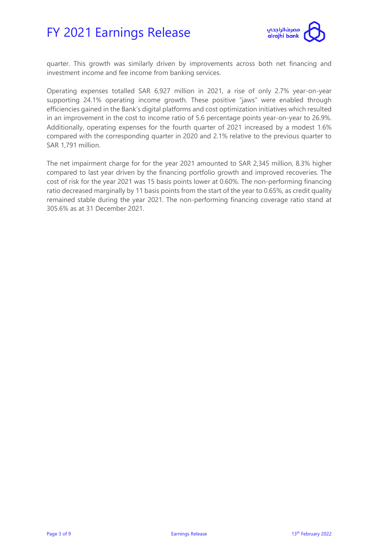

quarter. This growth was similarly driven by improvements across both net financing and investment income and fee income from banking services.

Operating expenses totalled SAR 6,927 million in 2021, a rise of only 2.7% year-on-year supporting 24.1% operating income growth. These positive "jaws" were enabled through efficiencies gained in the Bank's digital platforms and cost optimization initiatives which resulted in an improvement in the cost to income ratio of 5.6 percentage points year-on-year to 26.9%. Additionally, operating expenses for the fourth quarter of 2021 increased by a modest 1.6% compared with the corresponding quarter in 2020 and 2.1% relative to the previous quarter to SAR 1,791 million.

The net impairment charge for for the year 2021 amounted to SAR 2,345 million, 8.3% higher compared to last year driven by the financing portfolio growth and improved recoveries. The cost of risk for the year 2021 was 15 basis points lower at 0.60%. The non-performing financing ratio decreased marginally by 11 basis points from the start of the year to 0.65%, as credit quality remained stable during the year 2021. The non-performing financing coverage ratio stand at 305.6% as at 31 December 2021.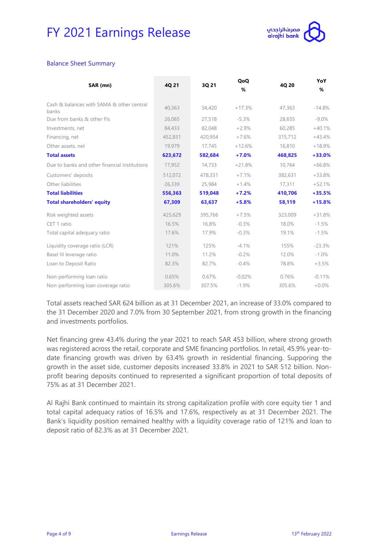

#### Balance Sheet Summary

| SAR (mn)                                           | 4Q 21   | 3Q 21   | QoQ<br>% | 4Q 20   | YoY<br>% |
|----------------------------------------------------|---------|---------|----------|---------|----------|
| Cash & balances with SAMA & other central<br>banks | 40,363  | 34,420  | $+17.3%$ | 47,363  | $-14.8%$ |
| Due from banks & other Fls                         | 26.065  | 27.518  | $-5.3%$  | 28,655  | $-9.0\%$ |
| Investments, net                                   | 84,433  | 82,048  | $+2.9%$  | 60,285  | $+40.1%$ |
| Financing, net                                     | 452,831 | 420,954 | $+7.6%$  | 315,712 | $+43.4%$ |
| Other assets, net                                  | 19,979  | 17,745  | $+12.6%$ | 16,810  | $+18.9%$ |
| <b>Total assets</b>                                | 623,672 | 582,684 | $+7.0%$  | 468,825 | +33.0%   |
| Due to banks and other financial institutions      | 17,952  | 14,733  | $+21.8%$ | 10,764  | $+66.8%$ |
| Customers' deposits                                | 512,072 | 478,331 | $+7.1%$  | 382,631 | $+33.8%$ |
| Other liabilities                                  | 26,339  | 25,984  | $+1.4%$  | 17,311  | $+52.1%$ |
| <b>Total liabilities</b>                           | 556,363 | 519,048 | $+7.2%$  | 410,706 | $+35.5%$ |
| <b>Total shareholders' equity</b>                  | 67,309  | 63,637  | $+5.8%$  | 58,119  | $+15.8%$ |
| Risk weighted assets                               | 425,629 | 395,766 | $+7.5%$  | 323,009 | $+31.8%$ |
| CET 1 ratio                                        | 16.5%   | 16.8%   | $-0.3%$  | 18.0%   | $-1.5%$  |
| Total capital adequacy ratio                       | 17.6%   | 17.9%   | $-0.3%$  | 19.1%   | $-1.5%$  |
| Liquidity coverage ratio (LCR)                     | 121%    | 125%    | $-4.1%$  | 155%    | $-23.3%$ |
| Basel III leverage ratio                           | 11.0%   | 11.2%   | $-0.2%$  | 12.0%   | $-1.0\%$ |
| Loan to Deposit Ratio                              | 82.3%   | 82.7%   | $-0.4%$  | 78.8%   | $+3.5%$  |
| Non-performing loan ratio                          | 0.65%   | 0.67%   | $-0.02%$ | 0.76%   | $-0.11%$ |
| Non-performing loan coverage ratio                 | 305.6%  | 307.5%  | $-1.9%$  | 305.6%  | $+0.0\%$ |

Total assets reached SAR 624 billion as at 31 December 2021, an increase of 33.0% compared to the 31 December 2020 and 7.0% from 30 September 2021, from strong growth in the financing and investments portfolios.

Net financing grew 43.4% during the year 2021 to reach SAR 453 billion, where strong growth was registered across the retail, corporate and SME financing portfolios. In retail, 45.9% year-todate financing growth was driven by 63.4% growth in residential financing. Supporing the growth in the asset side, customer deposits increased 33.8% in 2021 to SAR 512 billion. Nonprofit bearing deposits continued to represented a significant proportion of total deposits of 75% as at 31 December 2021.

Al Rajhi Bank continued to maintain its strong capitalization profile with core equity tier 1 and total capital adequacy ratios of 16.5% and 17.6%, respectively as at 31 December 2021. The Bank's liquidity position remained healthy with a liquidity coverage ratio of 121% and loan to deposit ratio of 82.3% as at 31 December 2021.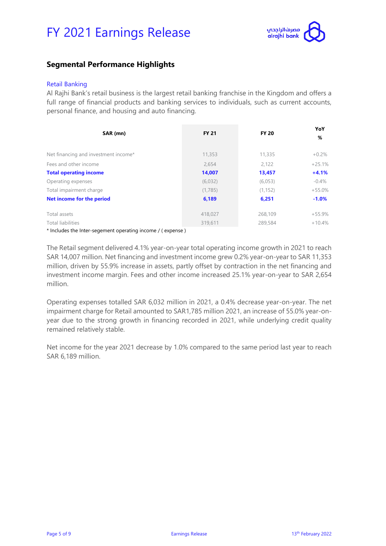

### **Segmental Performance Highlights**

#### Retail Banking

Al Rajhi Bank's retail business is the largest retail banking franchise in the Kingdom and offers a full range of financial products and banking services to individuals, such as current accounts, personal finance, and housing and auto financing.

| SAR (mn)                             | <b>FY 21</b> | <b>FY 20</b> | YoY<br>% |
|--------------------------------------|--------------|--------------|----------|
| Net financing and investment income* | 11,353       | 11,335       | $+0.2\%$ |
| Fees and other income                | 2,654        | 2,122        | $+25.1%$ |
| <b>Total operating income</b>        | 14,007       | 13,457       | $+4.1%$  |
| Operating expenses                   | (6,032)      | (6,053)      | $-0.4\%$ |
| Total impairment charge              | (1,785)      | (1, 152)     | $+55.0%$ |
| Net income for the period            | 6,189        | 6,251        | $-1.0\%$ |
| Total assets                         | 418,027      | 268,109      | $+55.9%$ |
| Total liabilities                    | 319.611      | 289,584      | $+10.4%$ |
| .                                    |              |              |          |

\* Includes the Inter-segement operating income / ( expense )

The Retail segment delivered 4.1% year-on-year total operating income growth in 2021 to reach SAR 14,007 million. Net financing and investment income grew 0.2% year-on-year to SAR 11,353 million, driven by 55.9% increase in assets, partly offset by contraction in the net financing and investment income margin. Fees and other income increased 25.1% year-on-year to SAR 2,654 million.

Operating expenses totalled SAR 6,032 million in 2021, a 0.4% decrease year-on-year. The net impairment charge for Retail amounted to SAR1,785 million 2021, an increase of 55.0% year-onyear due to the strong growth in financing recorded in 2021, while underlying credit quality remained relatively stable.

Net income for the year 2021 decrease by 1.0% compared to the same period last year to reach SAR 6,189 million.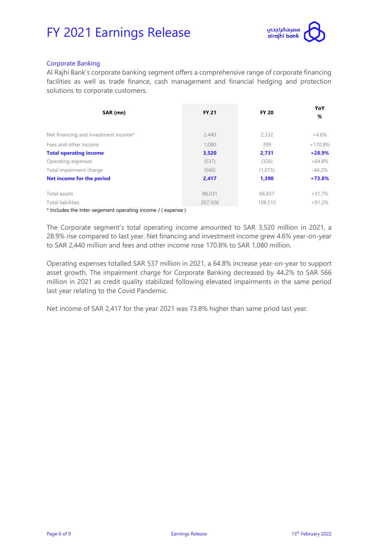

#### Corporate Banking

Al Rajhi Bank's corporate banking segment offers a comprehensive range of corporate financing facilities as well as trade finance, cash management and financial hedging and protection solutions to corporate customers.

| SAR (mn)                                                       | <b>FY 21</b> | <b>FY 20</b> | YoY<br>%  |
|----------------------------------------------------------------|--------------|--------------|-----------|
| Net financing and investment income*                           | 2,440        | 2,332        | $+4.6\%$  |
| Fees and other income                                          | 1.080        | 399          | $+170.8%$ |
| <b>Total operating income</b>                                  | 3,520        | 2,731        | $+28.9%$  |
| Operating expenses                                             | (537)        | (326)        | $+64.8%$  |
| Total impairment charge                                        | (566)        | (1,015)      | $-44.2\%$ |
| Net income for the period                                      | 2,417        | 1,390        | $+73.8%$  |
| Total assets                                                   | 88,031       | 66,837       | $+31.7%$  |
| Total liabilities                                              | 207,506      | 108,515      | $+91.2%$  |
| * Included the Inter concrete constitution income II our speal |              |              |           |

Includes the Inter-segement operating income / ( expense )

The Corporate segment's total operating income amounted to SAR 3,520 million in 2021, a 28.9% rise compared to last year. Net financing and investment income grew 4.6% year-on-year to SAR 2,440 million and fees and other income rose 170.8% to SAR 1,080 million.

Operating expenses totalled SAR 537 million in 2021, a 64.8% increase year-on-year to support asset growth. The impairment charge for Corporate Banking decreased by 44.2% to SAR 566 million in 2021 as credit quality stabilized following elevated impairments in the same period last year relating to the Covid Pandemic.

Net income of SAR 2,417 for the year 2021 was 73.8% higher than same priod last year.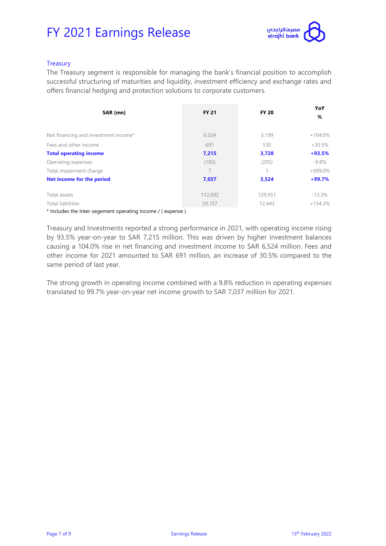

#### **Treasury**

The Treasury segment is responsible for managing the bank's financial position to accomplish successful structuring of maturities and liquidity, investment efficiency and exchange rates and offers financial hedging and protection solutions to corporate customers.

| SAR (mn)                                                   | <b>FY 21</b> | <b>FY 20</b> | YoY<br>%  |
|------------------------------------------------------------|--------------|--------------|-----------|
| Net financing and investment income*                       | 6.524        | 3,199        | $+104.0%$ |
| Fees and other income                                      | 691          | 530          | $+30.5%$  |
| <b>Total operating income</b>                              | 7,215        | 3,728        | $+93.5%$  |
| Operating expenses                                         | (185)        | (205)        | $-9.8\%$  |
| Total impairment charge                                    | 7            | 1            | $+699.0%$ |
| Net income for the period                                  | 7,037        | 3,524        | $+99.7%$  |
| Total assets                                               | 112,692      | 129,951      | $-13.3%$  |
| Total liabilities                                          | 29,157       | 12,443       | $+134.3%$ |
| * Includes the Inter-secondent energing income II evening) |              |              |           |

Includes the Inter-segement operating income / ( expense )

Treasury and Investments reported a strong performance in 2021, with operating income rising by 93.5% year-on-year to SAR 7,215 million. This was driven by higher investment balances causing a 104.0% rise in net financing and investment income to SAR 6,524 million. Fees and other income for 2021 amounted to SAR 691 million, an increase of 30.5% compared to the same period of last year.

The strong growth in operating income combined with a 9.8% reduction in operating expenses translated to 99.7% year-on-year net income growth to SAR 7,037 million for 2021.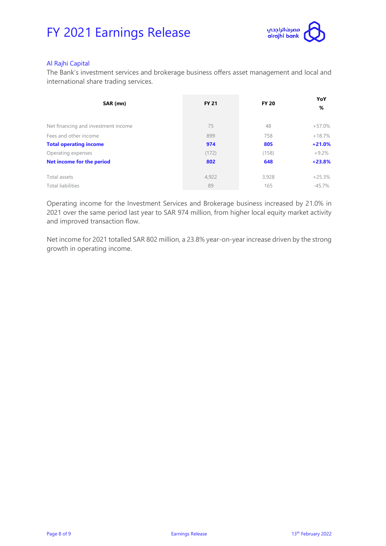

#### Al Rajhi Capital

The Bank's investment services and brokerage business offers asset management and local and international share trading services.

| SAR (mn)                            | <b>FY 21</b> | <b>FY 20</b> | YoY<br>%  |
|-------------------------------------|--------------|--------------|-----------|
| Net financing and investment income | 75           | 48           | $+57.0%$  |
| Fees and other income               | 899          | 758          | $+18.7%$  |
| <b>Total operating income</b>       | 974          | 805          | $+21.0%$  |
| Operating expenses                  | (172)        | (158)        | $+9.2\%$  |
| Net income for the period           | 802          | 648          | $+23.8%$  |
| Total assets                        | 4,922        | 3,928        | $+25.3%$  |
| Total liabilities                   | 89           | 165          | $-45.7\%$ |

Operating income for the Investment Services and Brokerage business increased by 21.0% in 2021 over the same period last year to SAR 974 million, from higher local equity market activity and improved transaction flow.

Net income for 2021 totalled SAR 802 million, a 23.8% year-on-year increase driven by the strong growth in operating income.